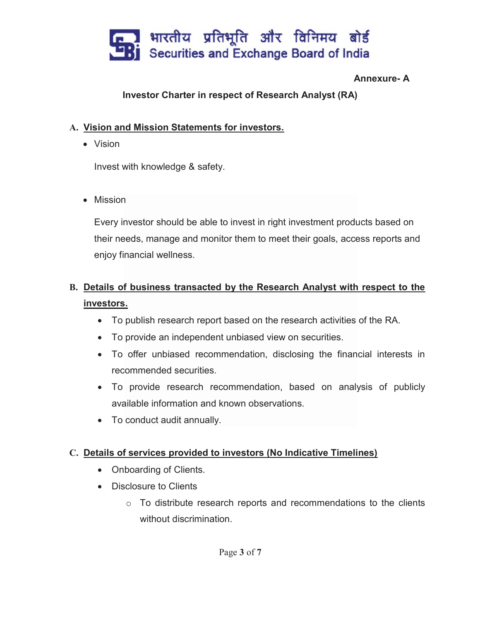

#### Annexure- A

### Investor Charter in respect of Research Analyst (RA)

#### A. Vision and Mission Statements for investors.

• Vision

Invest with knowledge & safety.

• Mission

Every investor should be able to invest in right investment products based on their needs, manage and monitor them to meet their goals, access reports and enjoy financial wellness.

## B. Details of business transacted by the Research Analyst with respect to the investors.

- To publish research report based on the research activities of the RA.
- To provide an independent unbiased view on securities.
- To offer unbiased recommendation, disclosing the financial interests in recommended securities.
- To provide research recommendation, based on analysis of publicly available information and known observations.
- To conduct audit annually.

### C. Details of services provided to investors (No Indicative Timelines)

- Onboarding of Clients.
- Disclosure to Clients
	- $\circ$  To distribute research reports and recommendations to the clients without discrimination.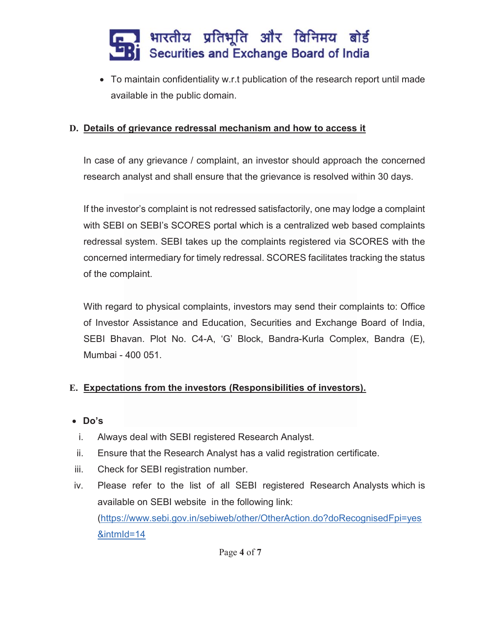# ▌ भारतीय प्रतिभूति और विनिमय बोर्ड<br>▌ Securities and Exchange Board of India

• To maintain confidentiality w.r.t publication of the research report until made available in the public domain.

## D. Details of grievance redressal mechanism and how to access it

In case of any grievance / complaint, an investor should approach the concerned research analyst and shall ensure that the grievance is resolved within 30 days.

If the investor's complaint is not redressed satisfactorily, one may lodge a complaint with SEBI on SEBI's SCORES portal which is a centralized web based complaints redressal system. SEBI takes up the complaints registered via SCORES with the concerned intermediary for timely redressal. SCORES facilitates tracking the status of the complaint.

With regard to physical complaints, investors may send their complaints to: Office of Investor Assistance and Education, Securities and Exchange Board of India, SEBI Bhavan. Plot No. C4-A, 'G' Block, Bandra-Kurla Complex, Bandra (E), Mumbai - 400 051.

### E. Expectations from the investors (Responsibilities of investors).

- Do's
- i. Always deal with SEBI registered Research Analyst.
- ii. Ensure that the Research Analyst has a valid registration certificate.
- iii. Check for SEBI registration number.
- iv. Please refer to the list of all SEBI registered Research Analysts which is available on SEBI website in the following link: (https://www.sebi.gov.in/sebiweb/other/OtherAction.do?doRecognisedFpi=yes &intmId=14